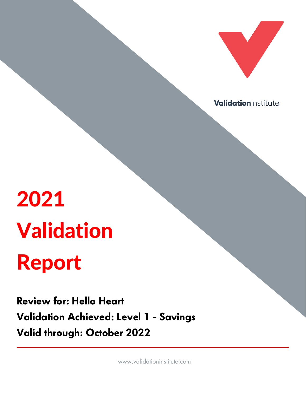

ValidationInstitute

# 2021 Validation Report

Review for: Hello Heart Validation Achieved: Level 1 - Savings Valid through: October 2022

www.validationinstitute.com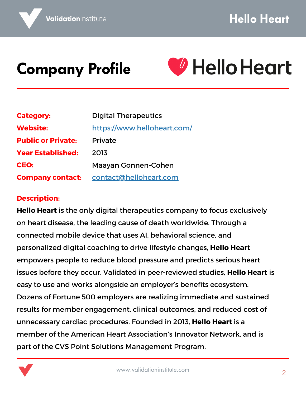#### Company Profile



| <b>Category:</b>          | <b>Digital Therapeutics</b> |  |
|---------------------------|-----------------------------|--|
| <b>Website:</b>           | https://www.helloheart.com/ |  |
| <b>Public or Private:</b> | Private                     |  |
| <b>Year Established:</b>  | 2013                        |  |
| CEO:                      | <b>Maayan Gonnen-Cohen</b>  |  |
| <b>Company contact:</b>   | contact@helloheart.com      |  |

#### **Description:**

**Hello Heart** is the only digital therapeutics company to focus exclusively on heart disease, the leading cause of death worldwide. Through a connected mobile device that uses AI, behavioral science, and personalized digital coaching to drive lifestyle changes, **Hello Heart** empowers people to reduce blood pressure and predicts serious heart issues before they occur. Validated in peer-reviewed studies, **Hello Heart** is easy to use and works alongside an employer's benefits ecosystem. Dozens of Fortune 500 employers are realizing immediate and sustained results for member engagement, clinical outcomes, and reduced cost of unnecessary cardiac procedures. Founded in 2013, **Hello Heart** is a member of the American Heart Association's Innovator Network, and is part of the CVS Point Solutions Management Program.

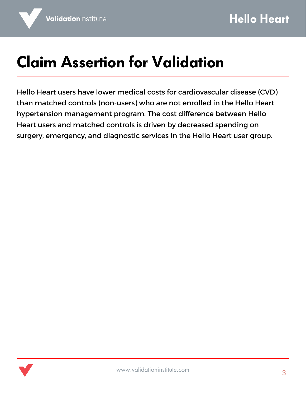# Claim Assertion for Validation

Hello Heart users have lower medical costs for cardiovascular disease (CVD) than matched controls (non-users) who are not enrolled in the Hello Heart hypertension management program. The cost difference between Hello Heart users and matched controls is driven by decreased spending on surgery, emergency, and diagnostic services in the Hello Heart user group.

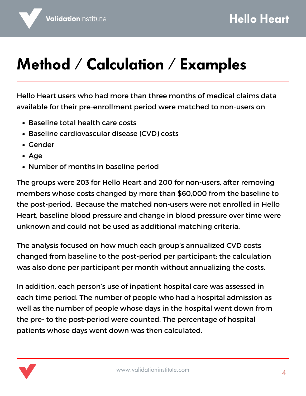# Method / Calculation / Examples

Hello Heart users who had more than three months of medical claims data available for their pre-enrollment period were matched to non-users on

- Baseline total health care costs
- Baseline cardiovascular disease (CVD) costs
- Gender
- Age
- Number of months in baseline period

The groups were 203 for Hello Heart and 200 for non-users, after removing members whose costs changed by more than \$60,000 from the baseline to the post-period. Because the matched non-users were not enrolled in Hello Heart, baseline blood pressure and change in blood pressure over time were unknown and could not be used as additional matching criteria.

The analysis focused on how much each group's annualized CVD costs changed from baseline to the post-period per participant; the calculation was also done per participant per month without annualizing the costs.

In addition, each person's use of inpatient hospital care was assessed in each time period. The number of people who had a hospital admission as well as the number of people whose days in the hospital went down from the pre- to the post-period were counted. The percentage of hospital patients whose days went down was then calculated.

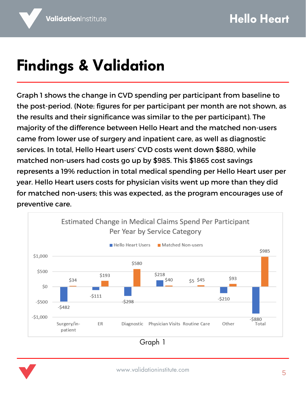# Findings & Validation

Graph 1 shows the change in CVD spending per participant from baseline to the post-period. (Note: figures for per participant per month are not shown, as the results and their significance was similar to the per participant). The majority of the difference between Hello Heart and the matched non-users came from lower use of surgery and inpatient care, as well as diagnostic services. In total, Hello Heart users' CVD costs went down \$880, while matched non-users had costs go up by \$985. This \$1865 cost savings represents a 19% reduction in total medical spending per Hello Heart user per year. Hello Heart users costs for physician visits went up more than they did for matched non-users; this was expected, as the program encourages use of preventive care.



Graph 1

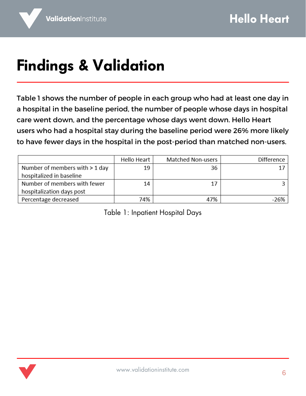# Findings & Validation

Table 1 shows the number of people in each group who had at least one day in a hospital in the baseline period, the number of people whose days in hospital care went down, and the percentage whose days went down. Hello Heart users who had a hospital stay during the baseline period were 26% more likely to have fewer days in the hospital in the post-period than matched non-users.

|                                | Hello Heart | Matched Non-users | Difference |
|--------------------------------|-------------|-------------------|------------|
| Number of members with > 1 day | 19          | 36                |            |
| hospitalized in baseline       |             |                   |            |
| Number of members with fewer   | 14          | 17                |            |
| hospitalization days post      |             |                   |            |
| Percentage decreased           | 74%         | 47%               | $-26%$     |

Table 1: Inpatient Hospital Days

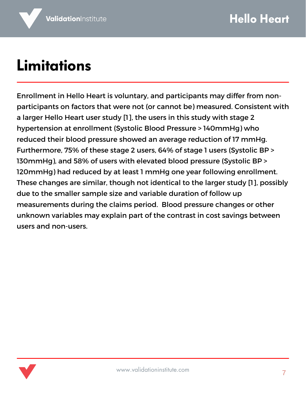#### Limitations

Enrollment in Hello Heart is voluntary, and participants may differ from nonparticipants on factors that were not (or cannot be) measured. Consistent with a larger Hello Heart user study [1], the users in this study with stage 2 hypertension at enrollment (Systolic Blood Pressure > 140mmHg) who reduced their blood pressure showed an average reduction of 17 mmHg. Furthermore, 75% of these stage 2 users, 64% of stage 1 users (Systolic BP > 130mmHg), and 58% of users with elevated blood pressure (Systolic BP > 120mmHg) had reduced by at least 1 mmHg one year following enrollment. These changes are similar, though not identical to the larger study [1], possibly due to the smaller sample size and variable duration of follow up measurements during the claims period. Blood pressure changes or other unknown variables may explain part of the contrast in cost savings between users and non-users.

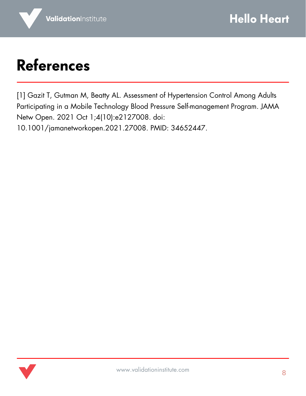#### References

[1] Gazit T, Gutman M, Beatty AL. Assessment of Hypertension Control Among Adults Participating in a Mobile Technology Blood Pressure Self-management Program. JAMA Netw Open. 2021 Oct 1;4(10):e2127008. doi: 10.1001/jamanetworkopen.2021.27008. PMID: 34652447.

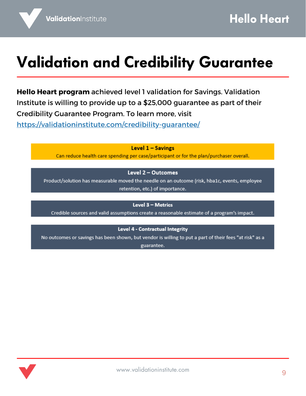#### Validation and Credibility Guarantee

**Hello Heart program** achieved level 1 validation for Savings. Validation Institute is willing to provide up to a \$25,000 guarantee as part of their Credibility Guarantee Program. To learn more, visit <https://validationinstitute.com/credibility-guarantee/>

Level 1 - Savings

Can reduce health care spending per case/participant or for the plan/purchaser overall.

Level 2 - Outcomes

Product/solution has measurable moved the needle on an outcome (risk, hba1c, events, employee retention, etc.) of importance.

Level 3 - Metrics

Credible sources and valid assumptions create a reasonable estimate of a program's impact.

Level 4 - Contractual Integrity

No outcomes or savings has been shown, but vendor is willing to put a part of their fees "at risk" as a guarantee.

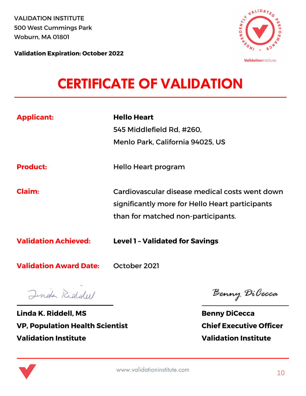VALIDATION INSTITUTE 500 West Cummings Park Woburn, MA 01801



**Validation Expiration: October 2022**

#### CERTIFICATE OF VALIDATION

| <b>Applicant:</b>             | <b>Hello Heart</b><br>545 Middlefield Rd. #260.<br>Menlo Park, California 94025, US                                                     |
|-------------------------------|-----------------------------------------------------------------------------------------------------------------------------------------|
| <b>Product:</b>               | Hello Heart program                                                                                                                     |
| <b>Claim:</b>                 | Cardiovascular disease medical costs went down<br>significantly more for Hello Heart participants<br>than for matched non-participants. |
| <b>Validation Achieved:</b>   | <b>Level 1 - Validated for Savings</b>                                                                                                  |
| <b>Validation Award Date:</b> | October 2021                                                                                                                            |

Jinda Righdell

**Linda K. Riddell, MS VP, Population Health Scientist Validation Institute**

Benny DiCecca

**Benny DiCecca Chief Executive Officer Validation Institute**